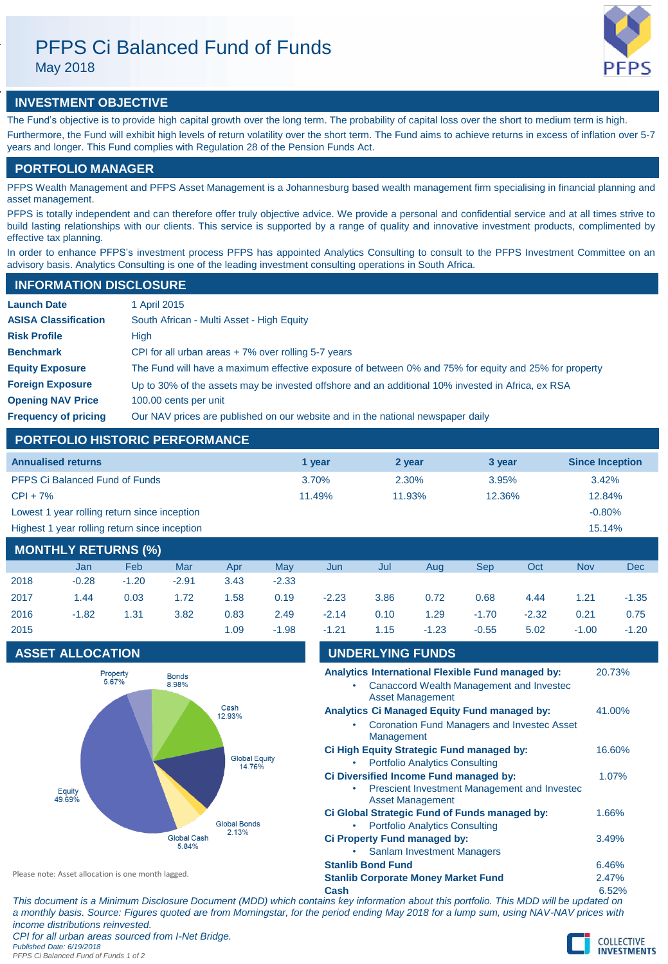May 2018



# **INVESTMENT OBJECTIVE**

The Fund's objective is to provide high capital growth over the long term. The probability of capital loss over the short to medium term is high. Furthermore, the Fund will exhibit high levels of return volatility over the short term. The Fund aims to achieve returns in excess of inflation over 5-7 years and longer. This Fund complies with Regulation 28 of the Pension Funds Act.

# **PORTFOLIO MANAGER**

PFPS Wealth Management and PFPS Asset Management is a Johannesburg based wealth management firm specialising in financial planning and asset management.

PFPS is totally independent and can therefore offer truly objective advice. We provide a personal and confidential service and at all times strive to build lasting relationships with our clients. This service is supported by a range of quality and innovative investment products, complimented by effective tax planning.

In order to enhance PFPS's investment process PFPS has appointed Analytics Consulting to consult to the PFPS Investment Committee on an advisory basis. Analytics Consulting is one of the leading investment consulting operations in South Africa.

### **INFORMATION DISCLOSURE**

| <b>Launch Date</b>          | 1 April 2015                                                                                          |
|-----------------------------|-------------------------------------------------------------------------------------------------------|
| <b>ASISA Classification</b> | South African - Multi Asset - High Equity                                                             |
| <b>Risk Profile</b>         | High                                                                                                  |
| <b>Benchmark</b>            | CPI for all urban areas $+7\%$ over rolling 5-7 years                                                 |
| <b>Equity Exposure</b>      | The Fund will have a maximum effective exposure of between 0% and 75% for equity and 25% for property |
| <b>Foreign Exposure</b>     | Up to 30% of the assets may be invested offshore and an additional 10% invested in Africa, ex RSA     |
| <b>Opening NAV Price</b>    | 100.00 cents per unit                                                                                 |
| <b>Frequency of pricing</b> | Our NAV prices are published on our website and in the national newspaper daily                       |

### **PORTFOLIO HISTORIC PERFORMANCE**

| <b>Annualised returns</b>                     | 1 vear | 2 year | 3 year | <b>Since Inception</b> |
|-----------------------------------------------|--------|--------|--------|------------------------|
| <b>PFPS Ci Balanced Fund of Funds</b>         | 3.70%  | 2.30%  | 3.95%  | $3.42\%$               |
| $CPI + 7\%$                                   | 11.49% | 11.93% | 12.36% | 12.84%                 |
| Lowest 1 year rolling return since inception  |        |        |        | $-0.80%$               |
| Highest 1 year rolling return since inception |        |        |        | 15.14%                 |
|                                               |        |        |        |                        |

### **MONTHLY RETURNS (%)** Jan Feb Mar Apr May Jun Jul Aug Sep Oct Nov Dec

| 2018 |                                                                                                                     | -0.28 -1.20 -2.91 3.43 |      | $-2.33$ |                                                                            |  |  |         |
|------|---------------------------------------------------------------------------------------------------------------------|------------------------|------|---------|----------------------------------------------------------------------------|--|--|---------|
|      | 2017      1.44      0.03      1.72      1.58      0.19      -2.23      3.86      0.72      0.68      4.44      1.21 |                        |      |         |                                                                            |  |  | $-1.35$ |
| 2016 |                                                                                                                     |                        |      |         | -1.82  1.31  3.82  0.83  2.49  -2.14  0.10  1.29  -1.70  -2.32  0.21  0.75 |  |  |         |
| 2015 |                                                                                                                     |                        | 1.09 |         | -1.98 -1.21 1.15 -1.23 -0.55 5.02 -1.00                                    |  |  | $-1.20$ |

# **ASSET ALLOCATION**



| 2015                    | 1.09                                                                                                     | $-1.98$ | $-1.21$ | 1.15                    | $-1.23$                                                                                | $-0.55$ | 5.02                                                                                          | $-1.00$ | $-1.20$ |
|-------------------------|----------------------------------------------------------------------------------------------------------|---------|---------|-------------------------|----------------------------------------------------------------------------------------|---------|-----------------------------------------------------------------------------------------------|---------|---------|
| <b>ASSET ALLOCATION</b> |                                                                                                          |         |         | <b>UNDERLYING FUNDS</b> |                                                                                        |         |                                                                                               |         |         |
| Property<br>5.67%       | <b>Bonds</b><br>8.98%                                                                                    |         |         |                         | <b>Asset Management</b>                                                                |         | Analytics International Flexible Fund managed by:<br>Canaccord Wealth Management and Invested |         | 20.73%  |
|                         | Cash<br>12.93%<br><b>Global Equity</b><br>14.76%<br><b>Global Bonds</b><br>2.13%<br>Global Cash<br>5.84% |         |         | Management              | Analytics Ci Managed Equity Fund managed by:                                           |         | <b>Coronation Fund Managers and Investec Asset</b>                                            |         | 41.00%  |
|                         |                                                                                                          |         |         |                         | Ci High Equity Strategic Fund managed by:<br><b>Portfolio Analytics Consulting</b>     |         |                                                                                               |         | 16.60%  |
| Equity<br>49.69%        |                                                                                                          |         |         |                         | Ci Diversified Income Fund managed by:<br><b>Asset Management</b>                      |         | Prescient Investment Management and Invested                                                  |         | 1.07%   |
|                         |                                                                                                          |         |         |                         | Ci Global Strategic Fund of Funds managed by:<br><b>Portfolio Analytics Consulting</b> |         |                                                                                               |         | 1.66%   |
|                         |                                                                                                          |         |         |                         | Ci Property Fund managed by:<br><b>Sanlam Investment Managers</b>                      |         |                                                                                               |         | 3.49%   |

**Stanlib Bond Fund** 6.46%

Please note: Asset allocation is one month lagged.

**Stanlib Corporate Money Market Fund** 2.47%

**Cash** 6.52% *This document is a Minimum Disclosure Document (MDD) which contains key information about this portfolio. This MDD will be updated on a monthly basis. Source: Figures quoted are from Morningstar, for the period ending May 2018 for a lump sum, using NAV-NAV prices with income distributions reinvested. CPI for all urban areas sourced from I-Net Bridge.*

*Published Date: 6/19/2018*